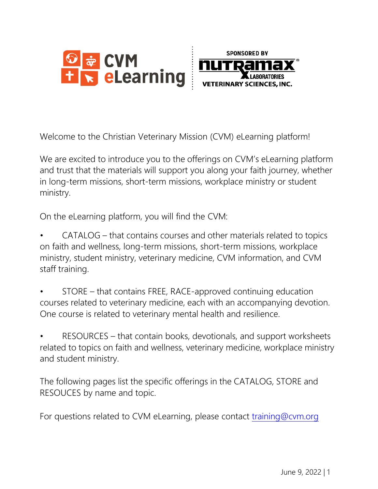



Welcome to the Christian Veterinary Mission (CVM) eLearning platform!

We are excited to introduce you to the offerings on CVM's eLearning platform and trust that the materials will support you along your faith journey, whether in long-term missions, short-term missions, workplace ministry or student ministry.

On the eLearning platform, you will find the CVM:

- CATALOG that contains courses and other materials related to topics on faith and wellness, long-term missions, short-term missions, workplace ministry, student ministry, veterinary medicine, CVM information, and CVM staff training.
- STORE that contains FREE, RACE-approved continuing education courses related to veterinary medicine, each with an accompanying devotion. One course is related to veterinary mental health and resilience.

• RESOURCES – that contain books, devotionals, and support worksheets related to topics on faith and wellness, veterinary medicine, workplace ministry and student ministry.

The following pages list the specific offerings in the CATALOG, STORE and RESOUCES by name and topic.

For questions related to CVM eLearning, please contact [training@cvm.org](mailto:training@cvm.org)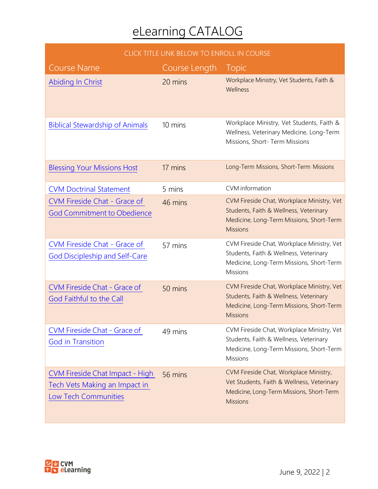| CLICK TITLE LINK BELOW TO ENROLL IN COURSE                                                      |               |                                                                                                                                                     |
|-------------------------------------------------------------------------------------------------|---------------|-----------------------------------------------------------------------------------------------------------------------------------------------------|
| <b>Course Name</b>                                                                              | Course Length | <b>Topic</b>                                                                                                                                        |
| Abiding In Christ                                                                               | 20 mins       | Workplace Ministry, Vet Students, Faith &<br>Wellness                                                                                               |
| <b>Biblical Stewardship of Animals</b>                                                          | 10 mins       | Workplace Ministry, Vet Students, Faith &<br>Wellness, Veterinary Medicine, Long-Term<br>Missions, Short- Term Missions                             |
| <b>Blessing Your Missions Host</b>                                                              | 17 mins       | Long-Term Missions, Short-Term Missions                                                                                                             |
| <b>CVM Doctrinal Statement</b>                                                                  | 5 mins        | <b>CVM</b> information                                                                                                                              |
| <b>CVM Fireside Chat - Grace of</b><br><b>God Commitment to Obedience</b>                       | 46 mins       | CVM Fireside Chat, Workplace Ministry, Vet<br>Students, Faith & Wellness, Veterinary<br>Medicine, Long-Term Missions, Short-Term<br><b>Missions</b> |
| <b>CVM Fireside Chat - Grace of</b><br><b>God Discipleship and Self-Care</b>                    | 57 mins       | CVM Fireside Chat, Workplace Ministry, Vet<br>Students, Faith & Wellness, Veterinary<br>Medicine, Long-Term Missions, Short-Term<br><b>Missions</b> |
| <b>CVM Fireside Chat - Grace of</b><br>God Faithful to the Call                                 | 50 mins       | CVM Fireside Chat, Workplace Ministry, Vet<br>Students, Faith & Wellness, Veterinary<br>Medicine, Long-Term Missions, Short-Term<br><b>Missions</b> |
| <b>CVM Fireside Chat - Grace of</b><br><b>God in Transition</b>                                 | 49 mins       | CVM Fireside Chat, Workplace Ministry, Vet<br>Students, Faith & Wellness, Veterinary<br>Medicine, Long-Term Missions, Short-Term<br><b>Missions</b> |
| <b>CVM Fireside Chat Impact - High</b><br>Tech Vets Making an Impact in<br>Low Tech Communities | 56 mins       | CVM Fireside Chat, Workplace Ministry,<br>Vet Students, Faith & Wellness, Veterinary<br>Medicine, Long-Term Missions, Short-Term<br><b>Missions</b> |

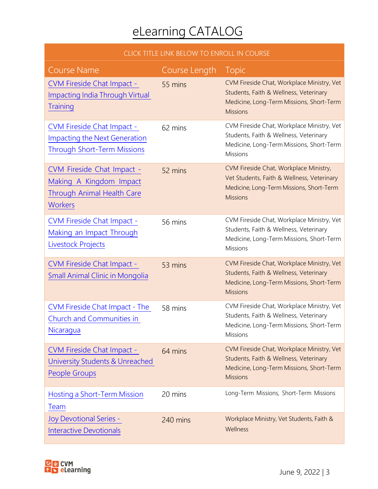| CLICK TITLE LINK BELOW TO ENROLL IN COURSE                                                                      |               |                                                                                                                                                     |
|-----------------------------------------------------------------------------------------------------------------|---------------|-----------------------------------------------------------------------------------------------------------------------------------------------------|
| <b>Course Name</b>                                                                                              | Course Length | <b>Topic</b>                                                                                                                                        |
| <b>CVM Fireside Chat Impact -</b><br><b>Impacting India Through Virtual</b><br>Training                         | 55 mins       | CVM Fireside Chat, Workplace Ministry, Vet<br>Students, Faith & Wellness, Veterinary<br>Medicine, Long-Term Missions, Short-Term<br><b>Missions</b> |
| <b>CVM Fireside Chat Impact -</b><br><b>Impacting the Next Generation</b><br><b>Through Short-Term Missions</b> | 62 mins       | CVM Fireside Chat, Workplace Ministry, Vet<br>Students, Faith & Wellness, Veterinary<br>Medicine, Long-Term Missions, Short-Term<br><b>Missions</b> |
| CVM Fireside Chat Impact -<br>Making A Kingdom Impact<br><b>Through Animal Health Care</b><br><b>Workers</b>    | 52 mins       | CVM Fireside Chat, Workplace Ministry,<br>Vet Students, Faith & Wellness, Veterinary<br>Medicine, Long-Term Missions, Short-Term<br><b>Missions</b> |
| <b>CVM Fireside Chat Impact -</b><br>Making an Impact Through<br>Livestock Projects                             | 56 mins       | CVM Fireside Chat, Workplace Ministry, Vet<br>Students, Faith & Wellness, Veterinary<br>Medicine, Long-Term Missions, Short-Term<br>Missions        |
| <b>CVM Fireside Chat Impact -</b><br><b>Small Animal Clinic in Mongolia</b>                                     | 53 mins       | CVM Fireside Chat, Workplace Ministry, Vet<br>Students, Faith & Wellness, Veterinary<br>Medicine, Long-Term Missions, Short-Term<br><b>Missions</b> |
| <b>CVM Fireside Chat Impact - The</b><br>Church and Communities in<br>Nicaragua                                 | 58 mins       | CVM Fireside Chat, Workplace Ministry, Vet<br>Students, Faith & Wellness, Veterinary<br>Medicine, Long-Term Missions, Short-Term<br>Missions        |
| <b>CVM Fireside Chat Impact -</b><br>University Students & Unreached<br><b>People Groups</b>                    | 64 mins       | CVM Fireside Chat, Workplace Ministry, Vet<br>Students, Faith & Wellness, Veterinary<br>Medicine, Long-Term Missions, Short-Term<br><b>Missions</b> |
| <b>Hosting a Short-Term Mission</b><br>Team                                                                     | 20 mins       | Long-Term Missions, Short-Term Missions                                                                                                             |
| <b>Joy Devotional Series -</b><br><b>Interactive Devotionals</b>                                                | 240 mins      | Workplace Ministry, Vet Students, Faith &<br>Wellness                                                                                               |

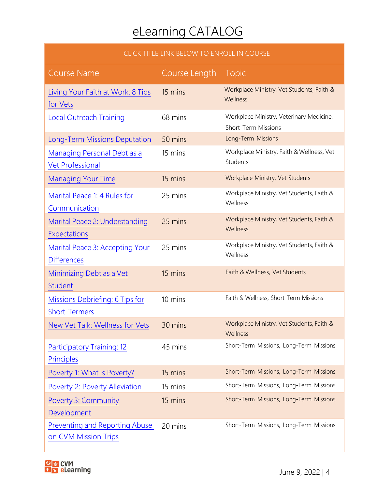#### CLICK TITLE LINK BELOW TO ENROLL IN COURSE

| <b>Course Name</b>                                            | Course Length | Topic                                                                  |
|---------------------------------------------------------------|---------------|------------------------------------------------------------------------|
| Living Your Faith at Work: 8 Tips<br>for Vets                 | 15 mins       | Workplace Ministry, Vet Students, Faith &<br>Wellness                  |
| <b>Local Outreach Training</b>                                | 68 mins       | Workplace Ministry, Veterinary Medicine,<br><b>Short-Term Missions</b> |
| <b>Long-Term Missions Deputation</b>                          | 50 mins       | Long-Term Missions                                                     |
| Managing Personal Debt as a<br><b>Vet Professional</b>        | 15 mins       | Workplace Ministry, Faith & Wellness, Vet<br>Students                  |
| <b>Managing Your Time</b>                                     | 15 mins       | Workplace Ministry, Vet Students                                       |
| Marital Peace 1: 4 Rules for<br>Communication                 | 25 mins       | Workplace Ministry, Vet Students, Faith &<br>Wellness                  |
| Marital Peace 2: Understanding<br>Expectations                | 25 mins       | Workplace Ministry, Vet Students, Faith &<br>Wellness                  |
| Marital Peace 3: Accepting Your<br><b>Differences</b>         | 25 mins       | Workplace Ministry, Vet Students, Faith &<br>Wellness                  |
| Minimizing Debt as a Vet<br><b>Student</b>                    | 15 mins       | Faith & Wellness, Vet Students                                         |
| Missions Debriefing: 6 Tips for<br><b>Short-Termers</b>       | 10 mins       | Faith & Wellness, Short-Term Missions                                  |
| New Vet Talk: Wellness for Vets                               | 30 mins       | Workplace Ministry, Vet Students, Faith &<br>Wellness                  |
| <b>Participatory Training: 12</b><br>Principles               | 45 mins       | Short-Term Missions, Long-Term Missions                                |
| Poverty 1: What is Poverty?                                   | 15 mins       | Short-Term Missions, Long-Term Missions                                |
| Poverty 2: Poverty Alleviation                                | 15 mins       | Short-Term Missions, Long-Term Missions                                |
| <b>Poverty 3: Community</b><br>Development                    | 15 mins       | Short-Term Missions, Long-Term Missions                                |
| <b>Preventing and Reporting Abuse</b><br>on CVM Mission Trips | 20 mins       | Short-Term Missions, Long-Term Missions                                |

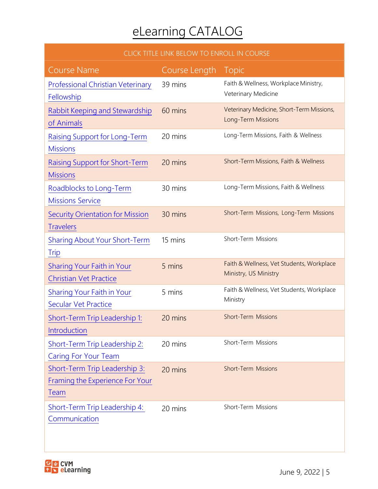#### CLICK TITLE LINK BELOW TO ENROLL IN COURSE

| <b>Course Name</b>                                                                     | Course Length | Topic                                                              |
|----------------------------------------------------------------------------------------|---------------|--------------------------------------------------------------------|
| <b>Professional Christian Veterinary</b><br>Fellowship                                 | 39 mins       | Faith & Wellness, Workplace Ministry,<br>Veterinary Medicine       |
| Rabbit Keeping and Stewardship<br>of Animals                                           | 60 mins       | Veterinary Medicine, Short-Term Missions,<br>Long-Term Missions    |
| Raising Support for Long-Term<br><b>Missions</b>                                       | 20 mins       | Long-Term Missions, Faith & Wellness                               |
| <b>Raising Support for Short-Term</b><br><b>Missions</b>                               | 20 mins       | Short-Term Missions, Faith & Wellness                              |
| Roadblocks to Long-Term<br><b>Missions Service</b>                                     | 30 mins       | Long-Term Missions, Faith & Wellness                               |
| <b>Security Orientation for Mission</b><br><b>Travelers</b>                            | 30 mins       | Short-Term Missions, Long-Term Missions                            |
| <b>Sharing About Your Short-Term</b><br><b>Trip</b>                                    | 15 mins       | Short-Term Missions                                                |
| <b>Sharing Your Faith in Your</b><br><b>Christian Vet Practice</b>                     | 5 mins        | Faith & Wellness, Vet Students, Workplace<br>Ministry, US Ministry |
| <b>Sharing Your Faith in Your</b><br>Secular Vet Practice                              | 5 mins        | Faith & Wellness, Vet Students, Workplace<br>Ministry              |
| Short-Term Trip Leadership 1:<br>Introduction                                          | 20 mins       | <b>Short-Term Missions</b>                                         |
| Short-Term Trip Leadership 2:<br><b>Caring For Your Team</b>                           | 20 mins       | Short-Term Missions                                                |
| Short-Term Trip Leadership 3:<br><b>Framing the Experience For Your</b><br><b>Team</b> | 20 mins       | <b>Short-Term Missions</b>                                         |
| Short-Term Trip Leadership 4:<br>Communication                                         | 20 mins       | Short-Term Missions                                                |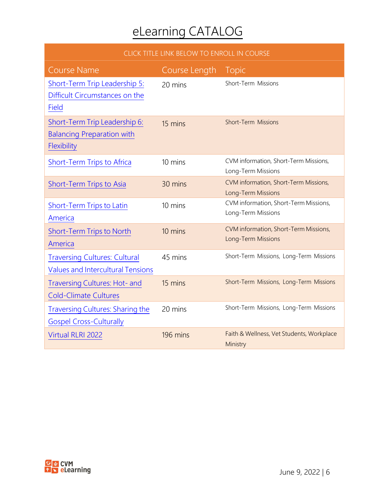| CLICK TITLE LINK BELOW TO ENROLL IN COURSE                                        |               |                                                             |
|-----------------------------------------------------------------------------------|---------------|-------------------------------------------------------------|
| <b>Course Name</b>                                                                | Course Length | <b>Topic</b>                                                |
| Short-Term Trip Leadership 5:<br>Difficult Circumstances on the<br>Field          | 20 mins       | Short-Term Missions                                         |
| Short-Term Trip Leadership 6:<br><b>Balancing Preparation with</b><br>Flexibility | 15 mins       | <b>Short-Term Missions</b>                                  |
| Short-Term Trips to Africa                                                        | 10 mins       | CVM information, Short-Term Missions,<br>Long-Term Missions |
| Short-Term Trips to Asia                                                          | 30 mins       | CVM information, Short-Term Missions,<br>Long-Term Missions |
| Short-Term Trips to Latin<br>America                                              | 10 mins       | CVM information, Short-Term Missions,<br>Long-Term Missions |
| <b>Short-Term Trips to North</b><br>America                                       | 10 mins       | CVM information, Short-Term Missions,<br>Long-Term Missions |
| <b>Traversing Cultures: Cultural</b><br><b>Values and Intercultural Tensions</b>  | 45 mins       | Short-Term Missions, Long-Term Missions                     |
| Traversing Cultures: Hot- and<br><b>Cold-Climate Cultures</b>                     | 15 mins       | Short-Term Missions, Long-Term Missions                     |
| <b>Traversing Cultures: Sharing the</b><br><b>Gospel Cross-Culturally</b>         | 20 mins       | Short-Term Missions, Long-Term Missions                     |
| Virtual RLRI 2022                                                                 | 196 mins      | Faith & Wellness, Vet Students, Workplace<br>Ministry       |

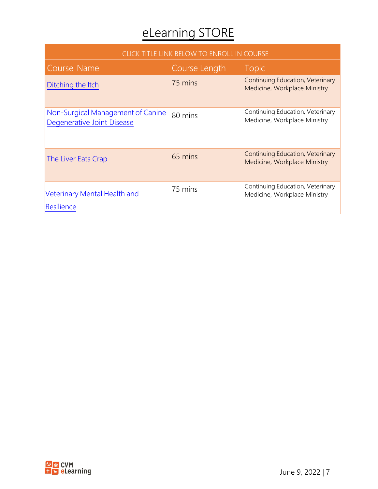### eLearning STORE

| CLICK TITLE LINK BELOW TO ENROLL IN COURSE                      |               |                                                                  |
|-----------------------------------------------------------------|---------------|------------------------------------------------------------------|
| Course Name                                                     | Course Length | <b>Topic</b>                                                     |
| Ditching the Itch                                               | 75 mins       | Continuing Education, Veterinary<br>Medicine, Workplace Ministry |
| Non-Surgical Management of Canine<br>Degenerative Joint Disease | 80 mins       | Continuing Education, Veterinary<br>Medicine, Workplace Ministry |
| The Liver Eats Crap                                             | 65 mins       | Continuing Education, Veterinary<br>Medicine, Workplace Ministry |
| Veterinary Mental Health and<br>Resilience                      | 75 mins       | Continuing Education, Veterinary<br>Medicine, Workplace Ministry |

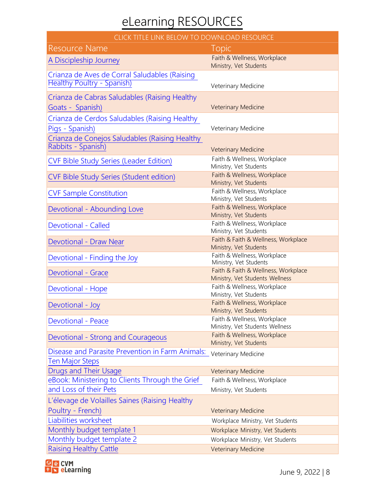### eLearning RESOURCES

#### CLICK TITLE LINK BELOW TO DOWNLOAD RESOURCE

| <b>Resource Name</b>                             | <b>Topic</b>                                                  |
|--------------------------------------------------|---------------------------------------------------------------|
| A Discipleship Journey                           | Faith & Wellness, Workplace<br>Ministry, Vet Students         |
| Crianza de Aves de Corral Saludables (Raising    |                                                               |
| <b>Healthy Poultry - Spanish)</b>                | Veterinary Medicine                                           |
| Crianza de Cabras Saludables (Raising Healthy    |                                                               |
| Goats - Spanish)                                 | <b>Veterinary Medicine</b>                                    |
| Crianza de Cerdos Saludables (Raising Healthy    |                                                               |
| Pigs - Spanish)                                  | Veterinary Medicine                                           |
| Crianza de Conejos Saludables (Raising Healthy   |                                                               |
| Rabbits - Spanish)                               | <b>Veterinary Medicine</b>                                    |
| <b>CVF Bible Study Series (Leader Edition)</b>   | Faith & Wellness, Workplace                                   |
|                                                  | Ministry, Vet Students<br>Faith & Wellness, Workplace         |
| <b>CVF Bible Study Series (Student edition)</b>  | Ministry, Vet Students                                        |
| <b>CVF Sample Constitution</b>                   | Faith & Wellness, Workplace                                   |
|                                                  | Ministry, Vet Students<br>Faith & Wellness, Workplace         |
| Devotional - Abounding Love                      | Ministry, Vet Students                                        |
| Devotional - Called                              | Faith & Wellness, Workplace                                   |
|                                                  | Ministry, Vet Students                                        |
| Devotional - Draw Near                           | Faith & Faith & Wellness, Workplace<br>Ministry, Vet Students |
| Devotional - Finding the Joy                     | Faith & Wellness, Workplace                                   |
|                                                  | Ministry, Vet Students<br>Faith & Faith & Wellness, Workplace |
| <b>Devotional - Grace</b>                        | Ministry, Vet Students Wellness                               |
| Devotional - Hope                                | Faith & Wellness, Workplace                                   |
|                                                  | Ministry, Vet Students<br>Faith & Wellness, Workplace         |
| Devotional - Joy                                 | Ministry, Vet Students                                        |
| <b>Devotional - Peace</b>                        | Faith & Wellness, Workplace                                   |
|                                                  | Ministry, Vet Students Wellness                               |
| Devotional - Strong and Courageous               | Faith & Wellness, Workplace<br>Ministry, Vet Students         |
| Disease and Parasite Prevention in Farm Animals: | Veterinary Medicine                                           |
| <b>Ten Major Steps</b>                           |                                                               |
| Drugs and Their Usage                            | <b>Veterinary Medicine</b>                                    |
| eBook: Ministering to Clients Through the Grief  | Faith & Wellness, Workplace                                   |
| and Loss of their Pets                           | Ministry, Vet Students                                        |
| L'élevage de Volailles Saines (Raising Healthy   |                                                               |
| Poultry - French)                                | <b>Veterinary Medicine</b>                                    |
| Liabilities worksheet                            | Workplace Ministry, Vet Students                              |
| Monthly budget template 1                        | Workplace Ministry, Vet Students                              |
| Monthly budget template 2                        | Workplace Ministry, Vet Students                              |
| <b>Raising Healthy Cattle</b>                    | <b>Veterinary Medicine</b>                                    |